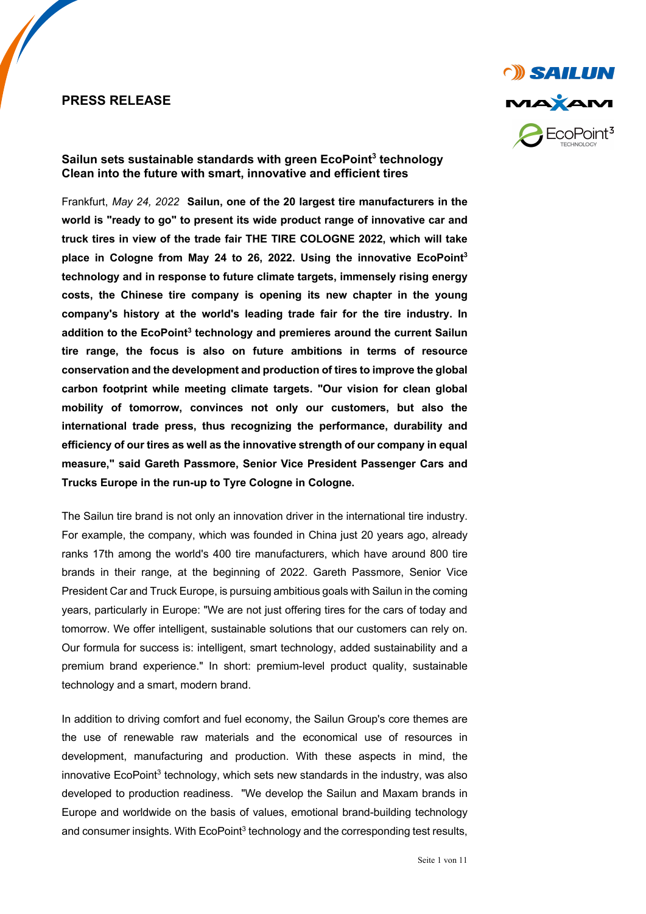

**Sailun sets sustainable standards with green EcoPoint3 technology Clean into the future with smart, innovative and efficient tires**

Frankfurt, *May 24, 2022* **Sailun, one of the 20 largest tire manufacturers in the world is "ready to go" to present its wide product range of innovative car and truck tires in view of the trade fair THE TIRE COLOGNE 2022, which will take place in Cologne from May 24 to 26, 2022. Using the innovative EcoPoint3 technology and in response to future climate targets, immensely rising energy costs, the Chinese tire company is opening its new chapter in the young company's history at the world's leading trade fair for the tire industry. In addition to the EcoPoint3 technology and premieres around the current Sailun tire range, the focus is also on future ambitions in terms of resource conservation and the development and production of tires to improve the global carbon footprint while meeting climate targets. "Our vision for clean global mobility of tomorrow, convinces not only our customers, but also the international trade press, thus recognizing the performance, durability and efficiency of our tires as well as the innovative strength of our company in equal measure," said Gareth Passmore, Senior Vice President Passenger Cars and Trucks Europe in the run-up to Tyre Cologne in Cologne.** 

The Sailun tire brand is not only an innovation driver in the international tire industry. For example, the company, which was founded in China just 20 years ago, already ranks 17th among the world's 400 tire manufacturers, which have around 800 tire brands in their range, at the beginning of 2022. Gareth Passmore, Senior Vice President Car and Truck Europe, is pursuing ambitious goals with Sailun in the coming years, particularly in Europe: "We are not just offering tires for the cars of today and tomorrow. We offer intelligent, sustainable solutions that our customers can rely on. Our formula for success is: intelligent, smart technology, added sustainability and a premium brand experience." In short: premium-level product quality, sustainable technology and a smart, modern brand.

In addition to driving comfort and fuel economy, the Sailun Group's core themes are the use of renewable raw materials and the economical use of resources in development, manufacturing and production. With these aspects in mind, the innovative EcoPoint $3$  technology, which sets new standards in the industry, was also developed to production readiness. "We develop the Sailun and Maxam brands in Europe and worldwide on the basis of values, emotional brand-building technology and consumer insights. With EcoPoint<sup>3</sup> technology and the corresponding test results,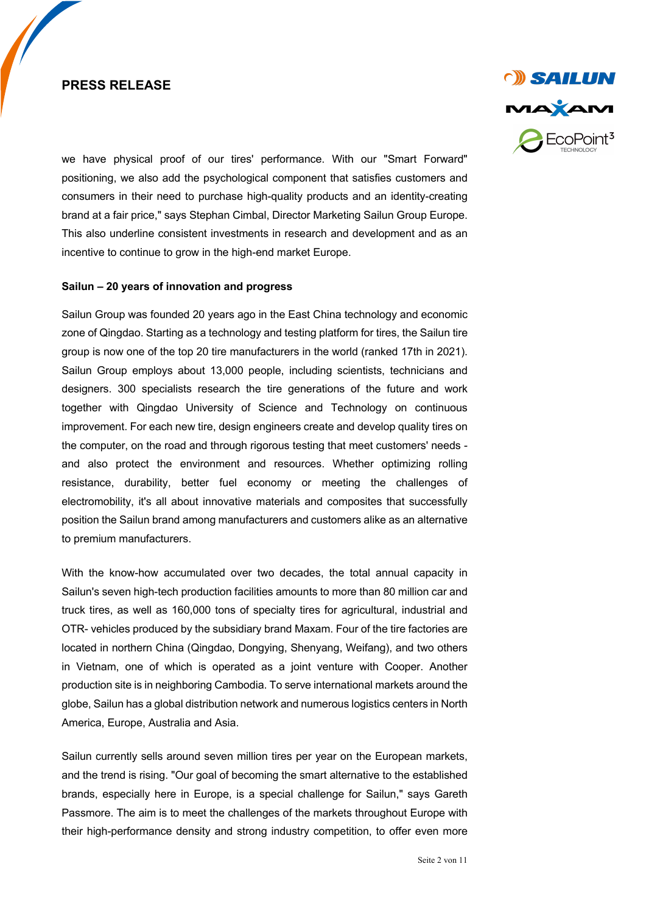

#### **Sailun – 20 years of innovation and progress**

Sailun Group was founded 20 years ago in the East China technology and economic zone of Qingdao. Starting as a technology and testing platform for tires, the Sailun tire group is now one of the top 20 tire manufacturers in the world (ranked 17th in 2021). Sailun Group employs about 13,000 people, including scientists, technicians and designers. 300 specialists research the tire generations of the future and work together with Qingdao University of Science and Technology on continuous improvement. For each new tire, design engineers create and develop quality tires on the computer, on the road and through rigorous testing that meet customers' needs and also protect the environment and resources. Whether optimizing rolling resistance, durability, better fuel economy or meeting the challenges of electromobility, it's all about innovative materials and composites that successfully position the Sailun brand among manufacturers and customers alike as an alternative to premium manufacturers.

With the know-how accumulated over two decades, the total annual capacity in Sailun's seven high-tech production facilities amounts to more than 80 million car and truck tires, as well as 160,000 tons of specialty tires for agricultural, industrial and OTR- vehicles produced by the subsidiary brand Maxam. Four of the tire factories are located in northern China (Qingdao, Dongying, Shenyang, Weifang), and two others in Vietnam, one of which is operated as a joint venture with Cooper. Another production site is in neighboring Cambodia. To serve international markets around the globe, Sailun has a global distribution network and numerous logistics centers in North America, Europe, Australia and Asia.

Sailun currently sells around seven million tires per year on the European markets, and the trend is rising. "Our goal of becoming the smart alternative to the established brands, especially here in Europe, is a special challenge for Sailun," says Gareth Passmore. The aim is to meet the challenges of the markets throughout Europe with their high-performance density and strong industry competition, to offer even more

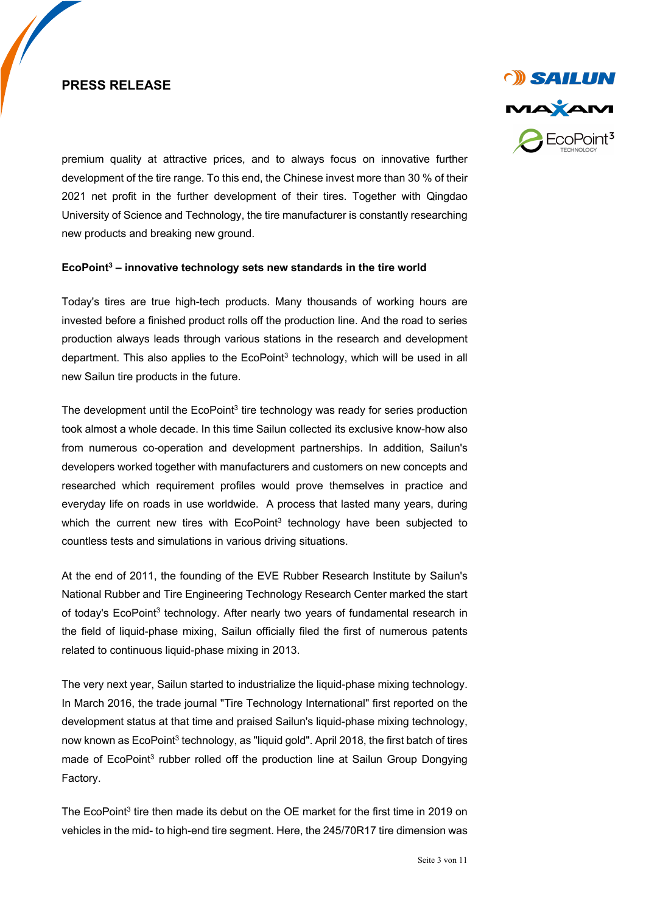

premium quality at attractive prices, and to always focus on innovative further development of the tire range. To this end, the Chinese invest more than 30 % of their 2021 net profit in the further development of their tires. Together with Qingdao University of Science and Technology, the tire manufacturer is constantly researching new products and breaking new ground.

#### **EcoPoint3 – innovative technology sets new standards in the tire world**

Today's tires are true high-tech products. Many thousands of working hours are invested before a finished product rolls off the production line. And the road to series production always leads through various stations in the research and development department. This also applies to the  $EcoPoint<sup>3</sup>$  technology, which will be used in all new Sailun tire products in the future.

The development until the  $EcoPoint<sup>3</sup>$  tire technology was ready for series production took almost a whole decade. In this time Sailun collected its exclusive know-how also from numerous co-operation and development partnerships. In addition, Sailun's developers worked together with manufacturers and customers on new concepts and researched which requirement profiles would prove themselves in practice and everyday life on roads in use worldwide. A process that lasted many years, during which the current new tires with  $EcoPoint<sup>3</sup>$  technology have been subjected to countless tests and simulations in various driving situations.

At the end of 2011, the founding of the EVE Rubber Research Institute by Sailun's National Rubber and Tire Engineering Technology Research Center marked the start of today's EcoPoint<sup>3</sup> technology. After nearly two years of fundamental research in the field of liquid-phase mixing, Sailun officially filed the first of numerous patents related to continuous liquid-phase mixing in 2013.

The very next year, Sailun started to industrialize the liquid-phase mixing technology. In March 2016, the trade journal "Tire Technology International" first reported on the development status at that time and praised Sailun's liquid-phase mixing technology, now known as EcoPoint<sup>3</sup> technology, as "liquid gold". April 2018, the first batch of tires made of EcoPoint<sup>3</sup> rubber rolled off the production line at Sailun Group Dongying Factory.

The EcoPoint<sup>3</sup> tire then made its debut on the OE market for the first time in 2019 on vehicles in the mid- to high-end tire segment. Here, the 245/70R17 tire dimension was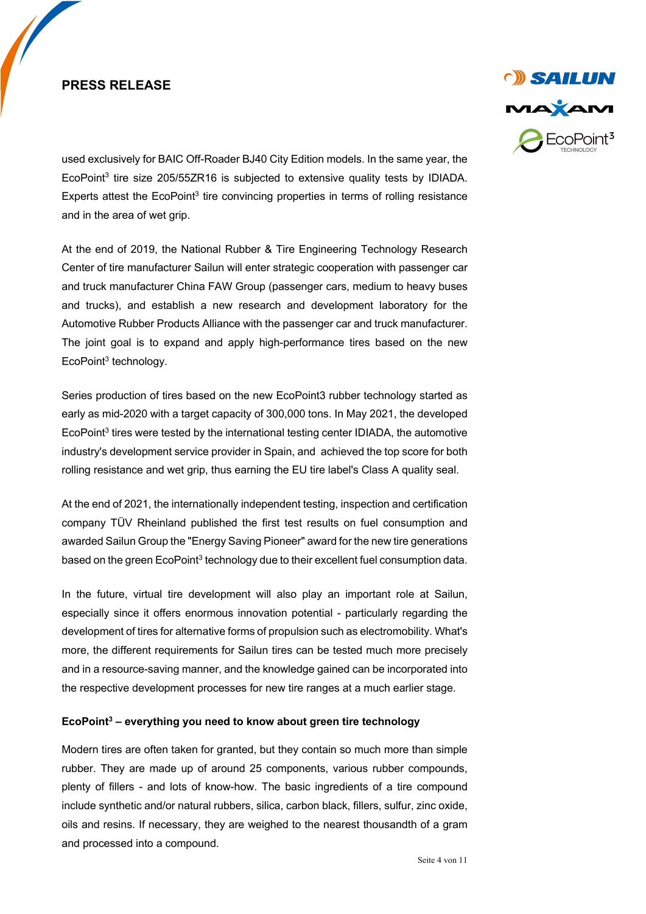)) SAILUN MAXAM

used exclusively for BAIC Off-Roader BJ40 City Edition models. In the same year, the EcoPoint $3$  tire size 205/55ZR16 is subjected to extensive quality tests by IDIADA. Experts attest the  $EcoPoint<sup>3</sup>$  tire convincing properties in terms of rolling resistance and in the area of wet grip.

At the end of 2019, the National Rubber & Tire Engineering Technology Research Center of tire manufacturer Sailun will enter strategic cooperation with passenger car and truck manufacturer China FAW Group (passenger cars, medium to heavy buses and trucks), and establish a new research and development laboratory for the Automotive Rubber Products Alliance with the passenger car and truck manufacturer. The joint goal is to expand and apply high-performance tires based on the new EcoPoint<sup>3</sup> technology.

Series production of tires based on the new EcoPoint3 rubber technology started as early as mid-2020 with a target capacity of 300,000 tons. In May 2021, the developed  $E$ coPoint $3$  tires were tested by the international testing center IDIADA, the automotive industry's development service provider in Spain, and achieved the top score for both rolling resistance and wet grip, thus earning the EU tire label's Class A quality seal.

At the end of 2021, the internationally independent testing, inspection and certification company TÜV Rheinland published the first test results on fuel consumption and awarded Sailun Group the "Energy Saving Pioneer" award for the new tire generations based on the green EcoPoint<sup>3</sup> technology due to their excellent fuel consumption data.

In the future, virtual tire development will also play an important role at Sailun, especially since it offers enormous innovation potential - particularly regarding the development of tires for alternative forms of propulsion such as electromobility. What's more, the different requirements for Sailun tires can be tested much more precisely and in a resource-saving manner, and the knowledge gained can be incorporated into the respective development processes for new tire ranges at a much earlier stage.

#### **EcoPoint3 – everything you need to know about green tire technology**

Modern tires are often taken for granted, but they contain so much more than simple rubber. They are made up of around 25 components, various rubber compounds, plenty of fillers - and lots of know-how. The basic ingredients of a tire compound include synthetic and/or natural rubbers, silica, carbon black, fillers, sulfur, zinc oxide, oils and resins. If necessary, they are weighed to the nearest thousandth of a gram and processed into a compound.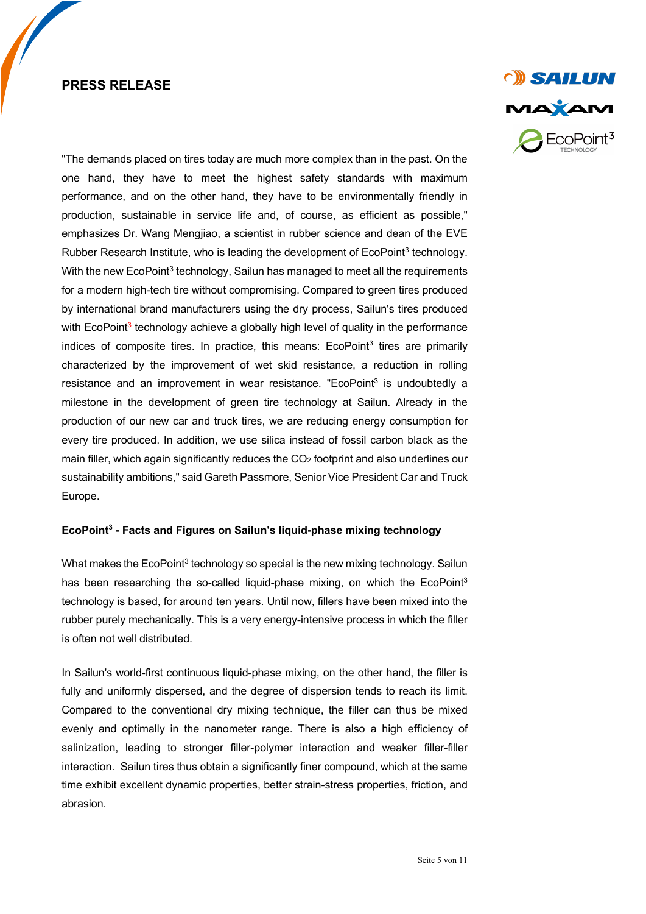

"The demands placed on tires today are much more complex than in the past. On the one hand, they have to meet the highest safety standards with maximum performance, and on the other hand, they have to be environmentally friendly in production, sustainable in service life and, of course, as efficient as possible," emphasizes Dr. Wang Mengjiao, a scientist in rubber science and dean of the EVE Rubber Research Institute, who is leading the development of EcoPoint<sup>3</sup> technology. With the new  $EcoPoint<sup>3</sup>$  technology, Sailun has managed to meet all the requirements for a modern high-tech tire without compromising. Compared to green tires produced by international brand manufacturers using the dry process, Sailun's tires produced with  $EcoPoint<sup>3</sup>$  technology achieve a globally high level of quality in the performance indices of composite tires. In practice, this means:  $EcoPoint<sup>3</sup>$  tires are primarily characterized by the improvement of wet skid resistance, a reduction in rolling resistance and an improvement in wear resistance. "EcoPoint $3$  is undoubtedly a milestone in the development of green tire technology at Sailun. Already in the production of our new car and truck tires, we are reducing energy consumption for every tire produced. In addition, we use silica instead of fossil carbon black as the main filler, which again significantly reduces the CO2 footprint and also underlines our sustainability ambitions," said Gareth Passmore, Senior Vice President Car and Truck Europe.

### **EcoPoint3 - Facts and Figures on Sailun's liquid-phase mixing technology**

What makes the EcoPoint<sup>3</sup> technology so special is the new mixing technology. Sailun has been researching the so-called liquid-phase mixing, on which the EcoPoint<sup>3</sup> technology is based, for around ten years. Until now, fillers have been mixed into the rubber purely mechanically. This is a very energy-intensive process in which the filler is often not well distributed.

In Sailun's world-first continuous liquid-phase mixing, on the other hand, the filler is fully and uniformly dispersed, and the degree of dispersion tends to reach its limit. Compared to the conventional dry mixing technique, the filler can thus be mixed evenly and optimally in the nanometer range. There is also a high efficiency of salinization, leading to stronger filler-polymer interaction and weaker filler-filler interaction. Sailun tires thus obtain a significantly finer compound, which at the same time exhibit excellent dynamic properties, better strain-stress properties, friction, and abrasion.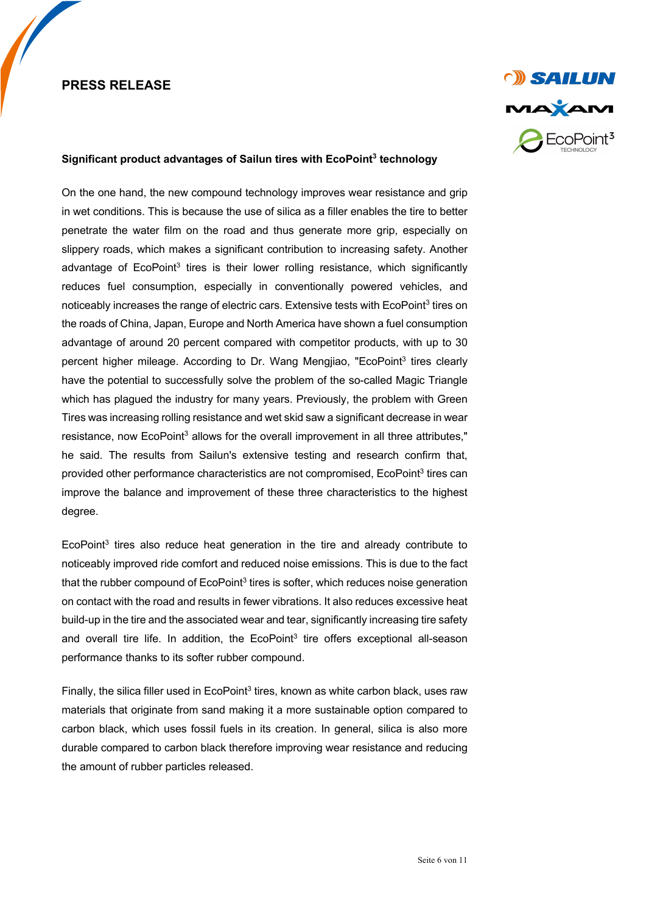

#### **Significant product advantages of Sailun tires with EcoPoint3 technology**

On the one hand, the new compound technology improves wear resistance and grip in wet conditions. This is because the use of silica as a filler enables the tire to better penetrate the water film on the road and thus generate more grip, especially on slippery roads, which makes a significant contribution to increasing safety. Another advantage of EcoPoint<sup>3</sup> tires is their lower rolling resistance, which significantly reduces fuel consumption, especially in conventionally powered vehicles, and noticeably increases the range of electric cars. Extensive tests with EcoPoint<sup>3</sup> tires on the roads of China, Japan, Europe and North America have shown a fuel consumption advantage of around 20 percent compared with competitor products, with up to 30 percent higher mileage. According to Dr. Wang Mengjiao, "EcoPoint<sup>3</sup> tires clearly have the potential to successfully solve the problem of the so-called Magic Triangle which has plagued the industry for many years. Previously, the problem with Green Tires was increasing rolling resistance and wet skid saw a significant decrease in wear resistance, now EcoPoint<sup>3</sup> allows for the overall improvement in all three attributes," he said. The results from Sailun's extensive testing and research confirm that, provided other performance characteristics are not compromised, EcoPoint<sup>3</sup> tires can improve the balance and improvement of these three characteristics to the highest degree.

 $E$ coPoint<sup>3</sup> tires also reduce heat generation in the tire and already contribute to noticeably improved ride comfort and reduced noise emissions. This is due to the fact that the rubber compound of  $EcoPoint<sup>3</sup>$  tires is softer, which reduces noise generation on contact with the road and results in fewer vibrations. It also reduces excessive heat build-up in the tire and the associated wear and tear, significantly increasing tire safety and overall tire life. In addition, the  $E$ coPoint $3$  tire offers exceptional all-season performance thanks to its softer rubber compound.

Finally, the silica filler used in  $EcoPoint<sup>3</sup>$  tires, known as white carbon black, uses raw materials that originate from sand making it a more sustainable option compared to carbon black, which uses fossil fuels in its creation. In general, silica is also more durable compared to carbon black therefore improving wear resistance and reducing the amount of rubber particles released.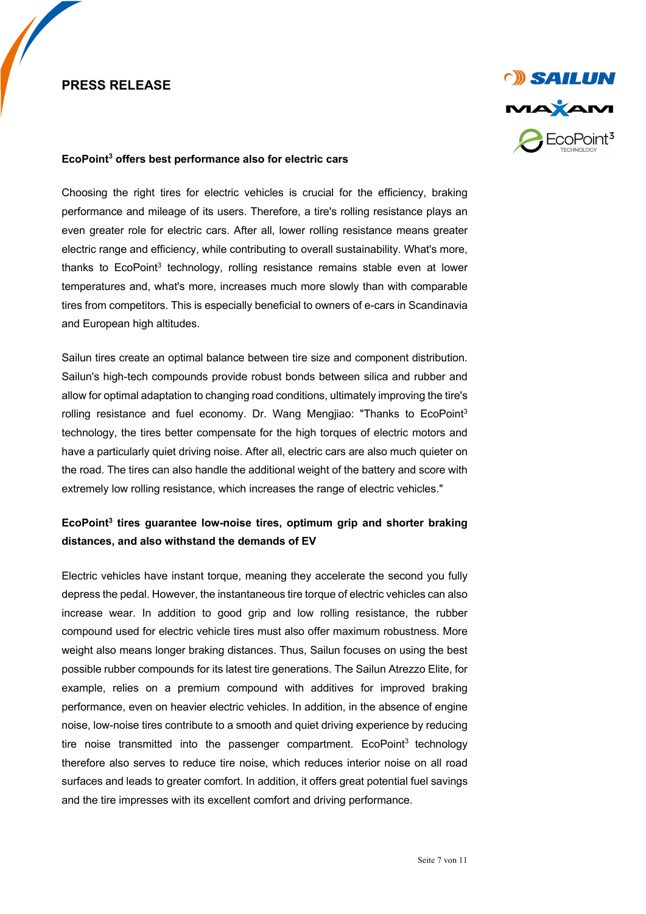

#### **EcoPoint3 offers best performance also for electric cars**

Choosing the right tires for electric vehicles is crucial for the efficiency, braking performance and mileage of its users. Therefore, a tire's rolling resistance plays an even greater role for electric cars. After all, lower rolling resistance means greater electric range and efficiency, while contributing to overall sustainability. What's more, thanks to EcoPoint<sup>3</sup> technology, rolling resistance remains stable even at lower temperatures and, what's more, increases much more slowly than with comparable tires from competitors. This is especially beneficial to owners of e-cars in Scandinavia and European high altitudes.

Sailun tires create an optimal balance between tire size and component distribution. Sailun's high-tech compounds provide robust bonds between silica and rubber and allow for optimal adaptation to changing road conditions, ultimately improving the tire's rolling resistance and fuel economy. Dr. Wang Mengjiao: "Thanks to EcoPoint<sup>3</sup> technology, the tires better compensate for the high torques of electric motors and have a particularly quiet driving noise. After all, electric cars are also much quieter on the road. The tires can also handle the additional weight of the battery and score with extremely low rolling resistance, which increases the range of electric vehicles."

# **EcoPoint3 tires guarantee low-noise tires, optimum grip and shorter braking distances, and also withstand the demands of EV**

Electric vehicles have instant torque, meaning they accelerate the second you fully depress the pedal. However, the instantaneous tire torque of electric vehicles can also increase wear. In addition to good grip and low rolling resistance, the rubber compound used for electric vehicle tires must also offer maximum robustness. More weight also means longer braking distances. Thus, Sailun focuses on using the best possible rubber compounds for its latest tire generations. The Sailun Atrezzo Elite, for example, relies on a premium compound with additives for improved braking performance, even on heavier electric vehicles. In addition, in the absence of engine noise, low-noise tires contribute to a smooth and quiet driving experience by reducing tire noise transmitted into the passenger compartment. EcoPoint $3$  technology therefore also serves to reduce tire noise, which reduces interior noise on all road surfaces and leads to greater comfort. In addition, it offers great potential fuel savings and the tire impresses with its excellent comfort and driving performance.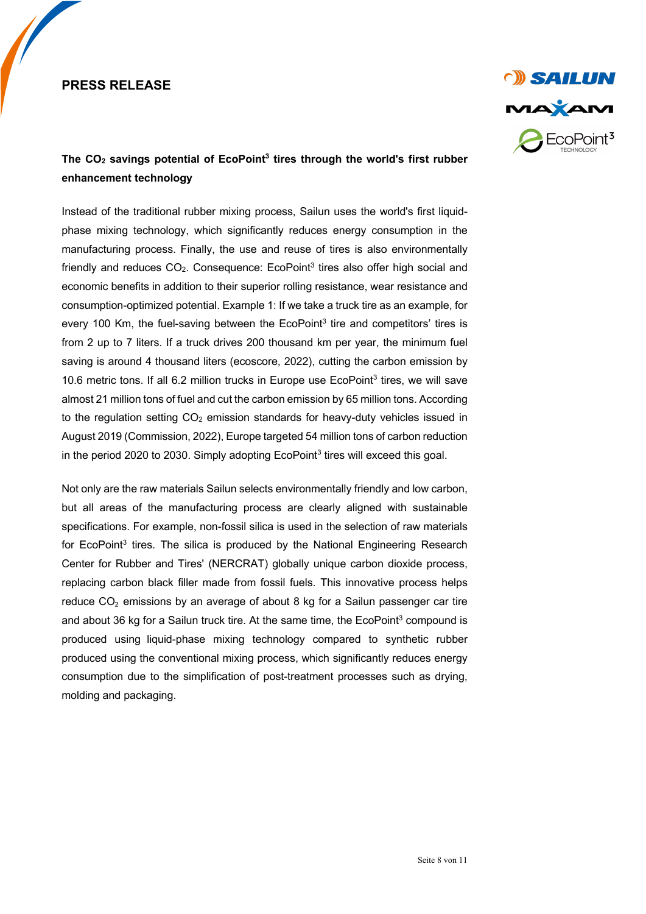

The CO<sub>2</sub> savings potential of EcoPoint<sup>3</sup> tires through the world's first rubber **enhancement technology**

Instead of the traditional rubber mixing process, Sailun uses the world's first liquidphase mixing technology, which significantly reduces energy consumption in the manufacturing process. Finally, the use and reuse of tires is also environmentally friendly and reduces  $CO<sub>2</sub>$ . Consequence: EcoPoint<sup>3</sup> tires also offer high social and economic benefits in addition to their superior rolling resistance, wear resistance and consumption-optimized potential. Example 1: If we take a truck tire as an example, for every 100 Km, the fuel-saving between the EcoPoint<sup>3</sup> tire and competitors' tires is from 2 up to 7 liters. If a truck drives 200 thousand km per year, the minimum fuel saving is around 4 thousand liters (ecoscore, 2022), cutting the carbon emission by 10.6 metric tons. If all 6.2 million trucks in Europe use EcoPoint $3$  tires, we will save almost 21 million tons of fuel and cut the carbon emission by 65 million tons. According to the regulation setting  $CO<sub>2</sub>$  emission standards for heavy-duty vehicles issued in August 2019 (Commission, 2022), Europe targeted 54 million tons of carbon reduction in the period 2020 to 2030. Simply adopting  $EcoPoint<sup>3</sup>$  tires will exceed this goal.

Not only are the raw materials Sailun selects environmentally friendly and low carbon, but all areas of the manufacturing process are clearly aligned with sustainable specifications. For example, non-fossil silica is used in the selection of raw materials for  $EcoPoint<sup>3</sup>$  tires. The silica is produced by the National Engineering Research Center for Rubber and Tires' (NERCRAT) globally unique carbon dioxide process, replacing carbon black filler made from fossil fuels. This innovative process helps reduce CO<sub>2</sub> emissions by an average of about 8 kg for a Sailun passenger car tire and about 36 kg for a Sailun truck tire. At the same time, the  $EcoPoint<sup>3</sup>$  compound is produced using liquid-phase mixing technology compared to synthetic rubber produced using the conventional mixing process, which significantly reduces energy consumption due to the simplification of post-treatment processes such as drying, molding and packaging.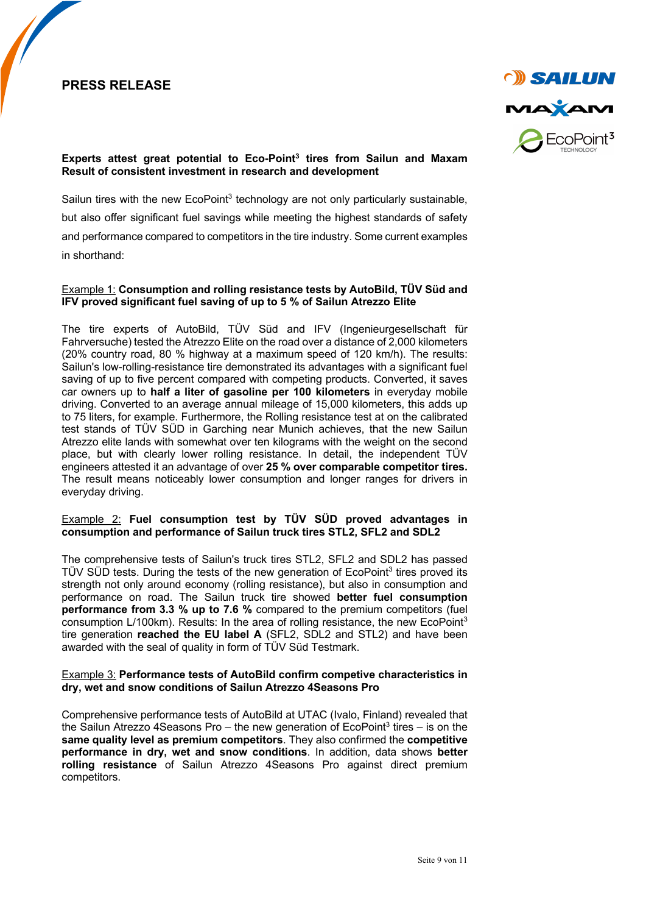

### **Experts attest great potential to Eco-Point3 tires from Sailun and Maxam Result of consistent investment in research and development**

Sailun tires with the new  $EcoPoint<sup>3</sup>$  technology are not only particularly sustainable. but also offer significant fuel savings while meeting the highest standards of safety and performance compared to competitors in the tire industry. Some current examples in shorthand:

### Example 1: **Consumption and rolling resistance tests by AutoBild, TÜV Süd and IFV proved significant fuel saving of up to 5 % of Sailun Atrezzo Elite**

The tire experts of AutoBild, TÜV Süd and IFV (Ingenieurgesellschaft für Fahrversuche) tested the Atrezzo Elite on the road over a distance of 2,000 kilometers (20% country road, 80 % highway at a maximum speed of 120 km/h). The results: Sailun's low-rolling-resistance tire demonstrated its advantages with a significant fuel saving of up to five percent compared with competing products. Converted, it saves car owners up to **half a liter of gasoline per 100 kilometers** in everyday mobile driving. Converted to an average annual mileage of 15,000 kilometers, this adds up to 75 liters, for example. Furthermore, the Rolling resistance test at on the calibrated test stands of TÜV SÜD in Garching near Munich achieves, that the new Sailun Atrezzo elite lands with somewhat over ten kilograms with the weight on the second place, but with clearly lower rolling resistance. In detail, the independent TÜV engineers attested it an advantage of over **25 % over comparable competitor tires.** The result means noticeably lower consumption and longer ranges for drivers in everyday driving.

### Example 2: **Fuel consumption test by TÜV SÜD proved advantages in consumption and performance of Sailun truck tires STL2, SFL2 and SDL2**

The comprehensive tests of Sailun's truck tires STL2, SFL2 and SDL2 has passed TÜV SÜD tests. During the tests of the new generation of  $EcoPoint<sup>3</sup>$  tires proved its strength not only around economy (rolling resistance), but also in consumption and performance on road. The Sailun truck tire showed **better fuel consumption performance from 3.3 % up to 7.6 %** compared to the premium competitors (fuel consumption L/100km). Results: In the area of rolling resistance, the new EcoPoint<sup>3</sup> tire generation **reached the EU label A** (SFL2, SDL2 and STL2) and have been awarded with the seal of quality in form of TÜV Süd Testmark.

#### Example 3: **Performance tests of AutoBild confirm competive characteristics in dry, wet and snow conditions of Sailun Atrezzo 4Seasons Pro**

Comprehensive performance tests of AutoBild at UTAC (Ivalo, Finland) revealed that the Sailun Atrezzo 4Seasons Pro – the new generation of  $EcoPoint<sup>3</sup>$  tires – is on the **same quality level as premium competitors**. They also confirmed the **competitive performance in dry, wet and snow conditions**. In addition, data shows **better rolling resistance** of Sailun Atrezzo 4Seasons Pro against direct premium competitors.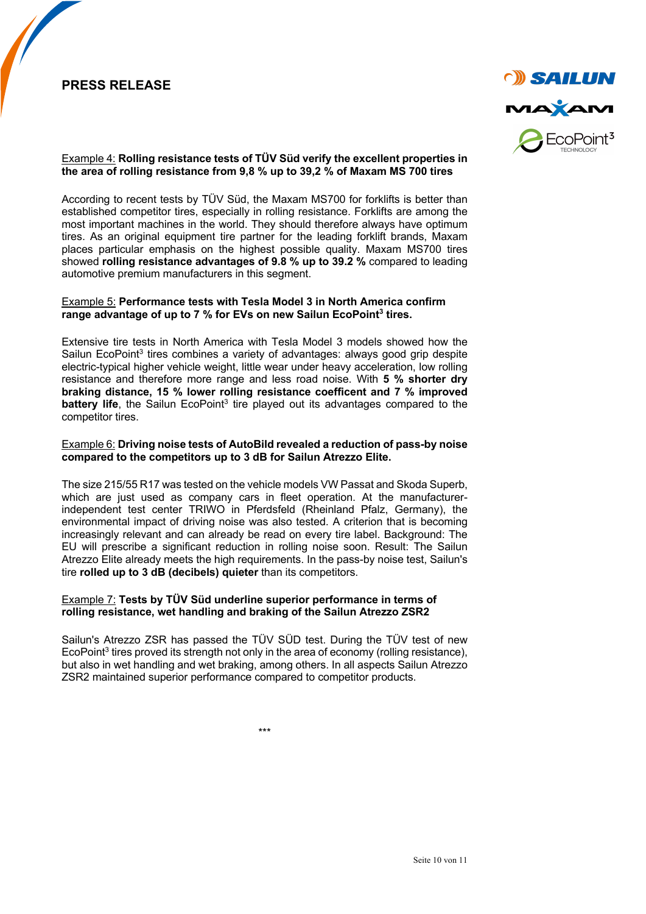

### Example 4: **Rolling resistance tests of TÜV Süd verify the excellent properties in the area of rolling resistance from 9,8 % up to 39,2 % of Maxam MS 700 tires**

According to recent tests by TÜV Süd, the Maxam MS700 for forklifts is better than established competitor tires, especially in rolling resistance. Forklifts are among the most important machines in the world. They should therefore always have optimum tires. As an original equipment tire partner for the leading forklift brands, Maxam places particular emphasis on the highest possible quality. Maxam MS700 tires showed **rolling resistance advantages of 9.8 % up to 39.2 %** compared to leading automotive premium manufacturers in this segment.

#### Example 5: **Performance tests with Tesla Model 3 in North America confirm range advantage of up to 7 % for EVs on new Sailun EcoPoint<sup>3</sup> tires.**

Extensive tire tests in North America with Tesla Model 3 models showed how the Sailun EcoPoint<sup>3</sup> tires combines a variety of advantages: always good grip despite electric-typical higher vehicle weight, little wear under heavy acceleration, low rolling resistance and therefore more range and less road noise. With **5 % shorter dry braking distance, 15 % lower rolling resistance coefficent and 7 % improved battery life**, the Sailun EcoPoint<sup>3</sup> tire played out its advantages compared to the competitor tires.

#### Example 6: **Driving noise tests of AutoBild revealed a reduction of pass-by noise compared to the competitors up to 3 dB for Sailun Atrezzo Elite.**

The size 215/55 R17 was tested on the vehicle models VW Passat and Skoda Superb, which are just used as company cars in fleet operation. At the manufacturerindependent test center TRIWO in Pferdsfeld (Rheinland Pfalz, Germany), the environmental impact of driving noise was also tested. A criterion that is becoming increasingly relevant and can already be read on every tire label. Background: The EU will prescribe a significant reduction in rolling noise soon. Result: The Sailun Atrezzo Elite already meets the high requirements. In the pass-by noise test, Sailun's tire **rolled up to 3 dB (decibels) quieter** than its competitors.

### Example 7: **Tests by TÜV Süd underline superior performance in terms of rolling resistance, wet handling and braking of the Sailun Atrezzo ZSR2**

Sailun's Atrezzo ZSR has passed the TÜV SÜD test. During the TÜV test of new  $E$ coPoint<sup>3</sup> tires proved its strength not only in the area of economy (rolling resistance), but also in wet handling and wet braking, among others. In all aspects Sailun Atrezzo ZSR2 maintained superior performance compared to competitor products.

\*\*\*